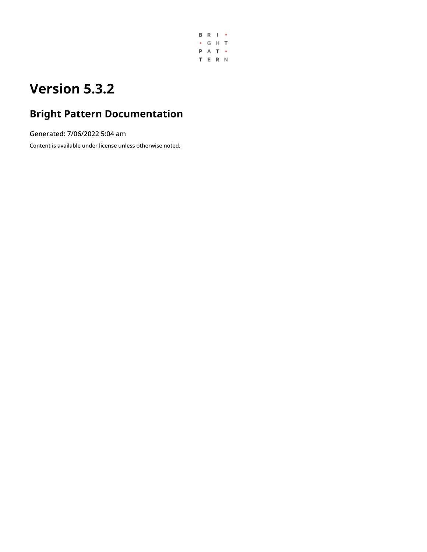

# **Version 5.3.2**

# **Bright Pattern Documentation**

Generated: 7/06/2022 5:04 am

Content is available under license unless otherwise noted.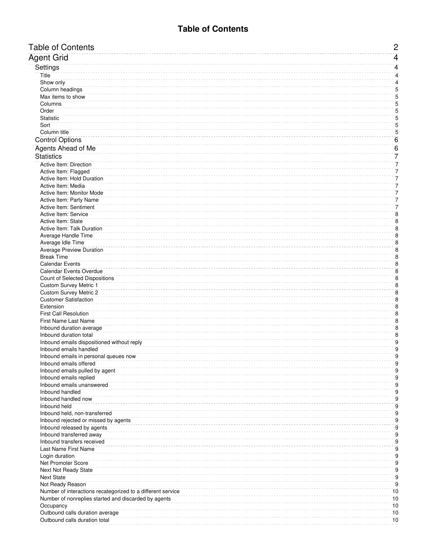<span id="page-1-0"></span>

| <b>Table of Contents</b>                                                                                            | $\overline{c}$       |
|---------------------------------------------------------------------------------------------------------------------|----------------------|
| Agent Grid                                                                                                          | $\overline{4}$       |
| Settings                                                                                                            | 4                    |
| Title                                                                                                               | $\overline{4}$       |
| Show only                                                                                                           | 4                    |
| Column headings                                                                                                     | 5                    |
| Max items to show                                                                                                   | 5                    |
| Columns                                                                                                             | 5                    |
| Order                                                                                                               | 5                    |
| <b>Statistic</b>                                                                                                    | 5                    |
| Sort                                                                                                                | 5                    |
| Column title                                                                                                        | 5                    |
| <b>Control Options</b>                                                                                              | $\overline{6}$       |
| Agents Ahead of Me                                                                                                  | $\overline{6}$       |
| <b>Statistics</b>                                                                                                   | 7                    |
| Active Item: Direction                                                                                              | 7                    |
| Active Item: Flagged                                                                                                | 7                    |
| Active Item: Hold Duration                                                                                          | 7                    |
| Active Item: Media                                                                                                  | 7                    |
| Active Item: Monitor Mode                                                                                           | 7                    |
| Active Item: Party Name                                                                                             | 7                    |
| <b>Active Item: Sentiment</b>                                                                                       | 7                    |
| <b>Active Item: Service</b>                                                                                         | 8                    |
| Active Item: State                                                                                                  | 8                    |
| Active Item: Talk Duration                                                                                          | 8                    |
| Average Handle Time<br>Average Idle Time                                                                            | 8<br>8               |
| <b>Average Preview Duration</b>                                                                                     | 8                    |
| <b>Break Time</b>                                                                                                   | 8                    |
| <b>Calendar Events</b>                                                                                              | $\overline{8}$       |
| Calendar Events Overdue                                                                                             | 8                    |
| <b>Count of Selected Dispositions</b>                                                                               | 8                    |
| <b>Custom Survey Metric 1</b>                                                                                       | 8                    |
| <b>Custom Survey Metric 2</b>                                                                                       | 8                    |
| <b>Customer Satisfaction</b>                                                                                        | 8                    |
| Extension                                                                                                           | 8                    |
| <b>First Call Resolution</b>                                                                                        | 8                    |
| First Name Last Name                                                                                                | 8                    |
| Inbound duration average                                                                                            | 8                    |
| Inbound duration total                                                                                              | 8                    |
| Inbound emails dispositioned without reply                                                                          | $\overline{9}$       |
| Inbound emails handled                                                                                              | $\overline{9}$       |
| Inbound emails in personal queues now<br>Inbound emails offered                                                     | 9<br>9               |
| Inbound emails pulled by agent                                                                                      | 9                    |
| Inbound emails replied                                                                                              | 9                    |
| Inbound emails unanswered                                                                                           | 9                    |
| Inbound handled                                                                                                     | $\overline{9}$       |
| Inbound handled now                                                                                                 | 9                    |
| Inbound held                                                                                                        | 9                    |
| Inbound held, non-transferred                                                                                       | 9                    |
| Inbound rejected or missed by agents                                                                                | 9                    |
| Inbound released by agents                                                                                          | $\overline{9}$       |
| Inbound transferred away                                                                                            | $\overline{9}$       |
| Inbound transfers received                                                                                          | 9                    |
| Last Name First Name                                                                                                | 9                    |
| Login duration                                                                                                      | 9                    |
| <b>Net Promoter Score</b>                                                                                           | $\overline{9}$       |
| Next Not Ready State                                                                                                | 9                    |
| <b>Next State</b>                                                                                                   | 9                    |
| Not Ready Reason                                                                                                    | $\overline{9}$<br>10 |
| Number of interactions recategorized to a different service<br>Number of nonreplies started and discarded by agents | 10                   |
| Occupancy                                                                                                           | 10                   |
| Outbound calls duration average                                                                                     | 10                   |
| Outbound calls duration total                                                                                       | 10                   |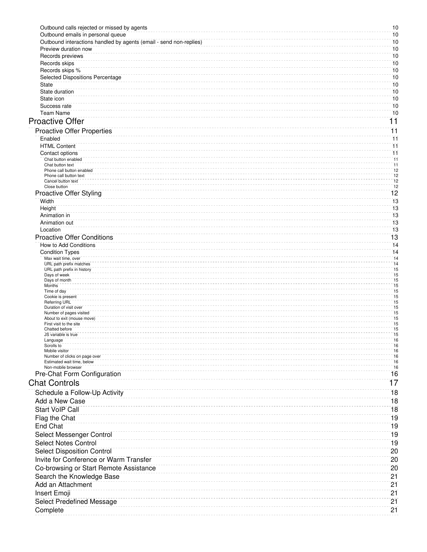| Outbound calls rejected or missed by agents                        | 10                                 |
|--------------------------------------------------------------------|------------------------------------|
| Outbound emails in personal queue                                  | 10                                 |
| Outbound interactions handled by agents (email - send non-replies) | 10                                 |
| Preview duration now                                               | 10                                 |
| Records previews                                                   | 10<br>10                           |
| Records skips<br>Records skips %                                   | 10                                 |
| <b>Selected Dispositions Percentage</b>                            | 10                                 |
| State                                                              | 10                                 |
| State duration                                                     | 10                                 |
| State icon                                                         | 10                                 |
| Success rate                                                       | 10                                 |
| <b>Team Name</b>                                                   | 10                                 |
| <b>Proactive Offer</b>                                             | $\overline{11}$                    |
| <b>Proactive Offer Properties</b>                                  | 11                                 |
| Enabled                                                            | 11                                 |
| <b>HTML Content</b>                                                | $\overline{11}$                    |
| Contact options                                                    | $\overline{11}$                    |
| Chat button enabled                                                | 11                                 |
| Chat button text<br>Phone call button enabled                      | 11<br>12                           |
| Phone call button text                                             | 12                                 |
| Cancel button text<br>Close button                                 | $\overline{12}$<br>$\overline{12}$ |
| <b>Proactive Offer Styling</b>                                     | 12                                 |
| Width                                                              | 13                                 |
| Height                                                             | 13                                 |
| Animation in                                                       | 13                                 |
| Animation out                                                      | 13                                 |
| Location                                                           | 13                                 |
| <b>Proactive Offer Conditions</b>                                  | 13                                 |
| How to Add Conditions                                              | 14                                 |
| <b>Condition Types</b>                                             | 14                                 |
| Max wait time, over<br>URL path prefix matches                     | 14<br>14                           |
| URL path prefix in history                                         | 15                                 |
| Days of week<br>Days of month                                      | 15<br>15                           |
| Months                                                             | 15                                 |
| Time of day                                                        | 15                                 |
| Cookie is present<br><b>Referring URL</b>                          | 15<br>15                           |
| Duration of visit over                                             | 15                                 |
| Number of pages visited<br>About to exit (mouse move)              | 15<br>15                           |
| First visit to the site                                            | 15                                 |
| Chatted before<br>JS variable is true                              | $\overline{15}$<br>15              |
| Language                                                           | 16                                 |
| Scrolls to                                                         | 16                                 |
| Mobile visitor<br>Number of clicks on page over                    | 16<br>16                           |
| Estimated wait time, below                                         | 16                                 |
| Non-mobile browser                                                 | 16<br>16                           |
| Pre-Chat Form Configuration                                        |                                    |
| <b>Chat Controls</b>                                               | 17                                 |
| Schedule a Follow-Up Activity                                      | 18                                 |
| Add a New Case                                                     | 18                                 |
| <b>Start VoIP Call</b>                                             | 18                                 |
| Flag the Chat                                                      | 19                                 |
| <b>End Chat</b>                                                    | 19                                 |
| Select Messenger Control                                           | 19                                 |
| <b>Select Notes Control</b>                                        | 19                                 |
| <b>Select Disposition Control</b>                                  | 20                                 |
| Invite for Conference or Warm Transfer                             | 20                                 |
|                                                                    |                                    |
| Co-browsing or Start Remote Assistance                             | 20                                 |
| Search the Knowledge Base                                          | 21                                 |
| Add an Attachment                                                  | 21                                 |
| Insert Emoji                                                       | 21                                 |
| <b>Select Predefined Message</b>                                   | 21                                 |
| Complete                                                           | 21                                 |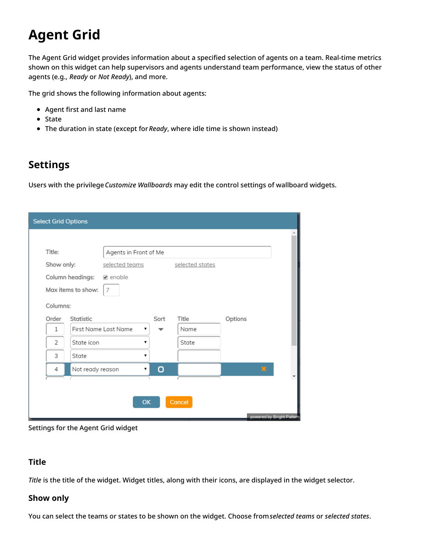# <span id="page-3-0"></span>**Agent Grid**

The Agent Grid widget provides information about a specified selection of agents on a team. Real-time metrics shown on this widget can help supervisors and agents understand team performance, view the status of other agents (e.g., *Ready* or *Not Ready*), and more.

The grid shows the following information about agents:

- Agent first and last name
- State
- The duration in state (except for*Ready*, where idle time is shown instead)

### <span id="page-3-1"></span>**Settings**

Users with the privilege*Customize Wallboards* may edit the control settings of wallboard widgets.

| <b>Select Grid Options</b>   |                              |      |                 |                           |
|------------------------------|------------------------------|------|-----------------|---------------------------|
|                              |                              |      |                 |                           |
| Title:                       | Agents in Front of Me        |      |                 |                           |
| Show only:                   | selected teams               |      | selected states |                           |
| Column headings:             | $\blacktriangleright$ enable |      |                 |                           |
| Max items to show:           | 7                            |      |                 |                           |
| Columns:                     |                              |      |                 |                           |
| Order<br>Statistic           |                              | Sort | Title           | Options                   |
| $\mathbf{1}$                 | First Name Last Name<br>▼    |      | Name            |                           |
| $\overline{c}$<br>State icon |                              |      | State           |                           |
| 3<br>State                   | ۷.                           |      |                 |                           |
| Not ready reason<br>4        | 7                            | о    |                 | $\mathbf{x}$              |
|                              |                              |      |                 |                           |
|                              |                              |      |                 |                           |
|                              | <b>OK</b>                    |      | Cancel          |                           |
|                              |                              |      |                 | powered by Bright Pattern |

Settings for the Agent Grid widget

#### <span id="page-3-2"></span>**Title**

*Title* is the title of the widget. Widget titles, along with their icons, are displayed in the widget selector.

#### <span id="page-3-3"></span>**Show only**

You can select the teams or states to be shown on the widget. Choose from*selected teams* or *selected states*.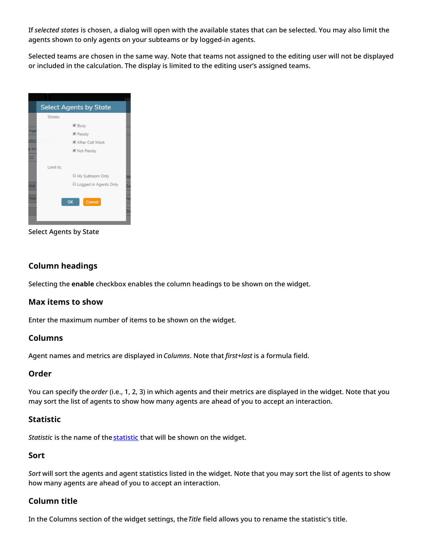If *selected states* is chosen, a dialog will open with the available states that can be selected. You may also limit the agents shown to only agents on your subteams or by logged-in agents.

Selected teams are chosen in the same way. Note that teams not assigned to the editing user will not be displayed or included in the calculation. The display is limited to the editing user's assigned teams.



Select Agents by State

#### <span id="page-4-0"></span>**Column headings**

Selecting the **enable** checkbox enables the column headings to be shown on the widget.

#### <span id="page-4-1"></span>**Max items to show**

Enter the maximum number of items to be shown on the widget.

#### <span id="page-4-2"></span>**Columns**

Agent names and metrics are displayed in*Columns*. Note that *first+last* is a formula field.

#### <span id="page-4-3"></span>**Order**

You can specify the *order* (i.e., 1, 2, 3) in which agents and their metrics are displayed in the widget. Note that you may sort the list of agents to show how many agents are ahead of you to accept an interaction.

#### <span id="page-4-4"></span>**Statistic**

*Statistic* is the name of the **[statistic](https://help.brightpattern.com/WhatsNew/Version5.3.2/?action=html-localimages-export#Statistics)** that will be shown on the widget.

#### <span id="page-4-5"></span>**Sort**

*Sort* will sort the agents and agent statistics listed in the widget. Note that you may sort the list of agents to show how many agents are ahead of you to accept an interaction.

#### <span id="page-4-6"></span>**Column title**

In the Columns section of the widget settings, the*Title* field allows you to rename the statistic's title.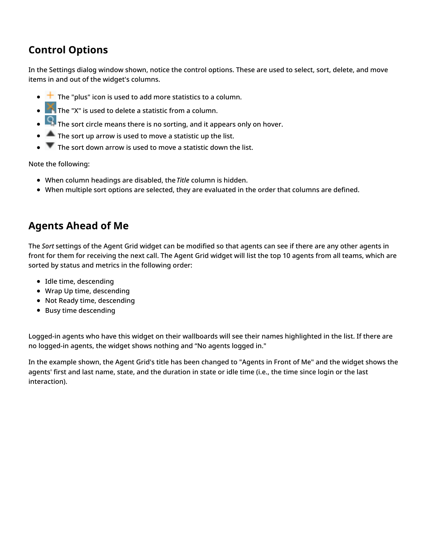## <span id="page-5-0"></span>**Control Options**

In the Settings dialog window shown, notice the control options. These are used to select, sort, delete, and move items in and out of the widget's columns.

- $\bullet$   $\pm$  The "plus" icon is used to add more statistics to a column.
- **The "X" is used to delete a statistic from a column.**
- $\begin{array}{|c|c|} \hline \textbf{Q} & \textbf{S} \end{array}$  The sort circle means there is no sorting, and it appears only on hover.
- $\blacksquare$  The sort up arrow is used to move a statistic up the list.  $\bullet$
- $\bullet$   $\blacksquare$  The sort down arrow is used to move a statistic down the list.

Note the following:

- When column headings are disabled, the*Title* column is hidden.
- When multiple sort options are selected, they are evaluated in the order that columns are defined.

### <span id="page-5-1"></span>**Agents Ahead of Me**

The *Sort* settings of the Agent Grid widget can be modified so that agents can see if there are any other agents in front for them for receiving the next call. The Agent Grid widget will list the top 10 agents from all teams, which are sorted by status and metrics in the following order:

- Idle time, descending
- Wrap Up time, descending
- Not Ready time, descending
- Busy time descending

Logged-in agents who have this widget on their wallboards will see their names highlighted in the list. If there are no logged-in agents, the widget shows nothing and "No agents logged in."

In the example shown, the Agent Grid's title has been changed to "Agents in Front of Me" and the widget shows the agents' first and last name, state, and the duration in state or idle time (i.e., the time since login or the last interaction).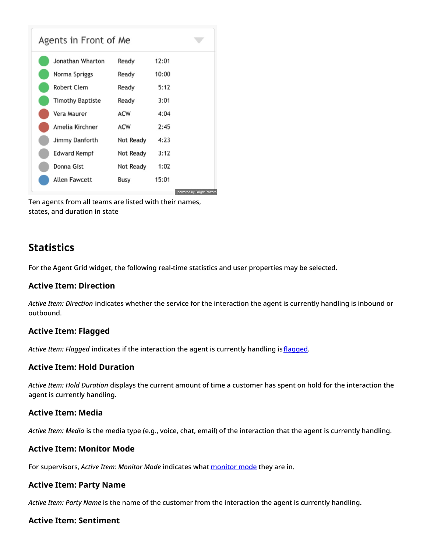| Agents in Front of Me |            |       |                           |
|-----------------------|------------|-------|---------------------------|
| Jonathan Wharton      | Ready      | 12:01 |                           |
| Norma Spriggs         | Ready      | 10:00 |                           |
| Robert Clem           | Ready      | 5:12  |                           |
| Timothy Baptiste      | Ready      | 3:01  |                           |
| Vera Maurer           | <b>ACW</b> | 4:04  |                           |
| Amelia Kirchner       | <b>ACW</b> | 2:45  |                           |
| Jimmy Danforth        | Not Ready  | 4:23  |                           |
| Edward Kempf          | Not Ready  | 3:12  |                           |
| Donna Gist            | Not Ready  | 1:02  |                           |
| Allen Fawcett         | Busy       | 15:01 |                           |
|                       |            |       | powered by Bright Pattern |

Ten agents from all teams are listed with their names, states, and duration in state

### <span id="page-6-0"></span>**Statistics**

For the Agent Grid widget, the following real-time statistics and user properties may be selected.

#### <span id="page-6-1"></span>**Active Item: Direction**

*Active Item: Direction* indicates whether the service for the interaction the agent is currently handling is inbound or outbound.

#### <span id="page-6-2"></span>**Active Item: Flagged**

*Active Item: Flagged* indicates if the interaction the agent is currently handling is [flagged](https://help.brightpattern.com/WhatsNew/Version5.3.2/?action=html-localimages-export#topic_agent-guide.2Fhowtoflagachatsession).

#### <span id="page-6-3"></span>**Active Item: Hold Duration**

*Active Item: Hold Duration* displays the current amount of time a customer has spent on hold for the interaction the agent is currently handling.

#### <span id="page-6-4"></span>**Active Item: Media**

*Active Item: Media* is the media type (e.g., voice, chat, email) of the interaction that the agent is currently handling.

#### <span id="page-6-5"></span>**Active Item: Monitor Mode**

For supervisors, *Active Item: Monitor Mode* indicates what [monitor](https://help.brightpattern.com/WhatsNew/Version5.3.2/?action=html-localimages-export#topic_supervisor-guide.2Fcallmonitoring.2Ccoachingandbarge-in) mode they are in.

#### <span id="page-6-6"></span>**Active Item: Party Name**

*Active Item: Party Name* is the name of the customer from the interaction the agent is currently handling.

#### <span id="page-6-7"></span>**Active Item: Sentiment**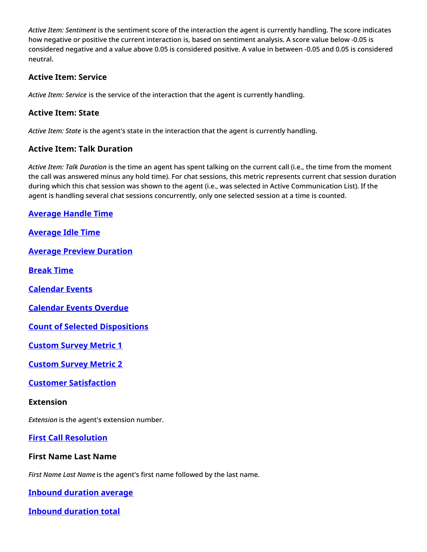*Active Item: Sentiment* is the sentiment score of the interaction the agent is currently handling. The score indicates how negative or positive the current interaction is, based on sentiment analysis. A score value below -0.05 is considered negative and a value above 0.05 is considered positive. A value in between -0.05 and 0.05 is considered neutral.

#### <span id="page-7-0"></span>**Active Item: Service**

*Active Item: Service* is the service of the interaction that the agent is currently handling.

#### <span id="page-7-1"></span>**Active Item: State**

*Active Item: State* is the agent's state in the interaction that the agent is currently handling.

#### <span id="page-7-2"></span>**Active Item: Talk Duration**

*Active Item: Talk Duration* is the time an agent has spent talking on the current call (i.e., the time from the moment the call was answered minus any hold time). For chat sessions, this metric represents current chat session duration during which this chat session was shown to the agent (i.e., was selected in Active Communication List). If the agent is handling several chat sessions concurrently, only one selected session at a time is counted.

#### <span id="page-7-3"></span>**[Average](https://help.brightpattern.com/index.php?title=Reporting-reference-guide/AllMetrics&action=edit&redlink=1) Handle Time**

<span id="page-7-4"></span>**[Average](https://help.brightpattern.com/index.php?title=Reporting-reference-guide/AllMetrics&action=edit&redlink=1) Idle Time**

<span id="page-7-5"></span>**Average Preview [Duration](https://help.brightpattern.com/index.php?title=Reporting-reference-guide/AllMetrics&action=edit&redlink=1)**

<span id="page-7-6"></span>**[Break](https://help.brightpattern.com/index.php?title=Reporting-reference-guide/AllMetrics&action=edit&redlink=1) Time**

<span id="page-7-7"></span>**[Calendar](https://help.brightpattern.com/index.php?title=Reporting-reference-guide/AllMetrics&action=edit&redlink=1) Events**

<span id="page-7-8"></span>**[Calendar](https://help.brightpattern.com/index.php?title=Reporting-reference-guide/AllMetrics&action=edit&redlink=1) Events Overdue**

<span id="page-7-9"></span>**Count of Selected [Dispositions](https://help.brightpattern.com/index.php?title=Reporting-reference-guide/AllMetrics&action=edit&redlink=1)**

<span id="page-7-10"></span>**[Custom](https://help.brightpattern.com/index.php?title=Reporting-reference-guide/AllMetrics&action=edit&redlink=1) Survey Metric 1**

<span id="page-7-11"></span>**[Custom](https://help.brightpattern.com/index.php?title=Reporting-reference-guide/AllMetrics&action=edit&redlink=1) Survey Metric 2**

#### <span id="page-7-12"></span>**Customer [Satisfaction](https://help.brightpattern.com/index.php?title=Reporting-reference-guide/AllMetrics&action=edit&redlink=1)**

#### <span id="page-7-13"></span>**Extension**

*Extension* is the agent's extension number.

<span id="page-7-14"></span>**First Call [Resolution](https://help.brightpattern.com/index.php?title=Reporting-reference-guide/AllMetrics&action=edit&redlink=1)**

#### <span id="page-7-15"></span>**First Name Last Name**

*First Name Last Name* is the agent's first name followed by the last name.

<span id="page-7-16"></span>**Inbound [duration](https://help.brightpattern.com/index.php?title=Reporting-reference-guide/AllMetrics&action=edit&redlink=1) average**

<span id="page-7-17"></span>**Inbound [duration](https://help.brightpattern.com/index.php?title=Reporting-reference-guide/AllMetrics&action=edit&redlink=1) total**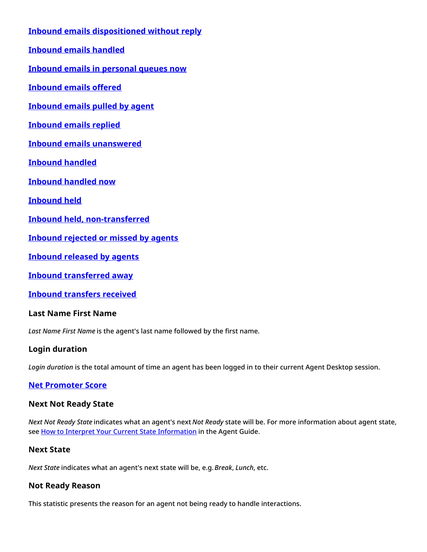<span id="page-8-7"></span><span id="page-8-6"></span><span id="page-8-5"></span><span id="page-8-4"></span><span id="page-8-3"></span><span id="page-8-2"></span><span id="page-8-1"></span><span id="page-8-0"></span>**Inbound emails [dispositioned](https://help.brightpattern.com/index.php?title=Reporting-reference-guide/AllMetrics&action=edit&redlink=1) without reply [Inbound](https://help.brightpattern.com/index.php?title=Reporting-reference-guide/AllMetrics&action=edit&redlink=1) emails handled Inbound emails in [personal](https://help.brightpattern.com/index.php?title=Reporting-reference-guide/AllMetrics&action=edit&redlink=1) queues now [Inbound](https://help.brightpattern.com/index.php?title=Reporting-reference-guide/AllMetrics&action=edit&redlink=1) emails offered [Inbound](https://help.brightpattern.com/index.php?title=Reporting-reference-guide/AllMetrics&action=edit&redlink=1) emails pulled by agent [Inbound](https://help.brightpattern.com/index.php?title=Reporting-reference-guide/AllMetrics&action=edit&redlink=1) emails replied Inbound emails [unanswered](https://help.brightpattern.com/index.php?title=Reporting-reference-guide/AllMetrics&action=edit&redlink=1) [Inbound](https://help.brightpattern.com/index.php?title=Reporting-reference-guide/AllMetrics&action=edit&redlink=1) handled [Inbound](https://help.brightpattern.com/index.php?title=Reporting-reference-guide/AllMetrics&action=edit&redlink=1) handled now [Inbound](https://help.brightpattern.com/index.php?title=Reporting-reference-guide/AllMetrics&action=edit&redlink=1) held Inbound held, [non-transferred](https://help.brightpattern.com/index.php?title=Reporting-reference-guide/AllMetrics&action=edit&redlink=1) [Inbound](https://help.brightpattern.com/index.php?title=Reporting-reference-guide/AllMetrics&action=edit&redlink=1) rejected or missed by agents Inbound [released](https://help.brightpattern.com/index.php?title=Reporting-reference-guide/AllMetrics&action=edit&redlink=1) by agents Inbound [transferred](https://help.brightpattern.com/index.php?title=Reporting-reference-guide/AllMetrics&action=edit&redlink=1) away Inbound [transfers](https://help.brightpattern.com/index.php?title=Reporting-reference-guide/AllMetrics&action=edit&redlink=1) received**

<span id="page-8-15"></span><span id="page-8-14"></span><span id="page-8-13"></span><span id="page-8-12"></span><span id="page-8-11"></span><span id="page-8-10"></span><span id="page-8-9"></span><span id="page-8-8"></span>**Last Name First Name**

*Last Name First Name* is the agent's last name followed by the first name.

#### <span id="page-8-16"></span>**Login duration**

*Login duration* is the total amount of time an agent has been logged in to their current Agent Desktop session.

#### <span id="page-8-17"></span>**Net [Promoter](https://help.brightpattern.com/index.php?title=Reporting-reference-guide/AllMetrics&action=edit&redlink=1) Score**

#### <span id="page-8-18"></span>**Next Not Ready State**

*Next Not Ready State* indicates what an agent's next *Not Ready* state will be. For more information about agent state, see How to Interpret Your Current State [Information](https://help.brightpattern.com/WhatsNew/Version5.3.2/?action=html-localimages-export#topic_agent-guide.2Fhowtointerpretyourcurrentstateinformation) in the Agent Guide.

#### <span id="page-8-19"></span>**Next State**

*Next State* indicates what an agent's next state will be, e.g.*Break*, *Lunch*, etc.

#### <span id="page-8-20"></span>**Not Ready Reason**

This statistic presents the reason for an agent not being ready to handle interactions.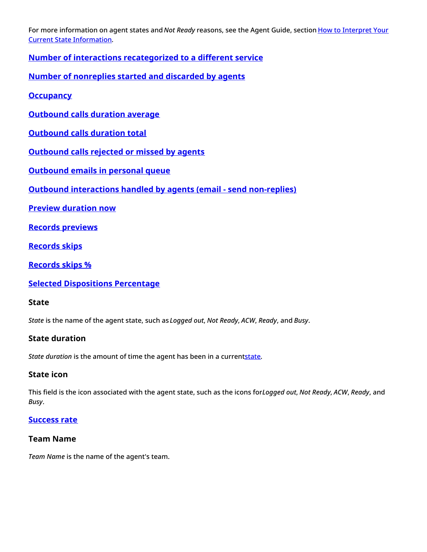For more information on agent states and *Not Ready* reasons, see the Agent Guide, section How to Interpret Your Current State [Information.](https://help.brightpattern.com/WhatsNew/Version5.3.2/?action=html-localimages-export#topic_agent-guide.2Fhowtointerpretyourcurrentstateinformation)

<span id="page-9-0"></span>**Number of interactions [recategorized](https://help.brightpattern.com/index.php?title=Reporting-reference-guide/AllMetrics&action=edit&redlink=1) to a different service**

<span id="page-9-1"></span>**Number of [nonreplies](https://help.brightpattern.com/index.php?title=Reporting-reference-guide/AllMetrics&action=edit&redlink=1) started and discarded by agents**

<span id="page-9-2"></span>**[Occupancy](https://help.brightpattern.com/index.php?title=Reporting-reference-guide/AllMetrics&action=edit&redlink=1)**

<span id="page-9-3"></span>**[Outbound](https://help.brightpattern.com/index.php?title=Reporting-reference-guide/AllMetrics&action=edit&redlink=1) calls duration average**

<span id="page-9-4"></span>**[Outbound](https://help.brightpattern.com/index.php?title=Reporting-reference-guide/AllMetrics&action=edit&redlink=1) calls duration total**

<span id="page-9-5"></span>**[Outbound](https://help.brightpattern.com/index.php?title=Reporting-reference-guide/AllMetrics&action=edit&redlink=1) calls rejected or missed by agents**

<span id="page-9-6"></span>**[Outbound](https://help.brightpattern.com/index.php?title=Reporting-reference-guide/AllMetrics&action=edit&redlink=1) emails in personal queue**

<span id="page-9-7"></span>**Outbound [interactions](https://help.brightpattern.com/index.php?title=Reporting-reference-guide/AllMetrics&action=edit&redlink=1) handled by agents (email - send non-replies)**

<span id="page-9-8"></span>**Preview [duration](https://help.brightpattern.com/index.php?title=Reporting-reference-guide/AllMetrics&action=edit&redlink=1) now**

<span id="page-9-9"></span>**Records [previews](https://help.brightpattern.com/index.php?title=Reporting-reference-guide/AllMetrics&action=edit&redlink=1)**

<span id="page-9-10"></span>**[Records](https://help.brightpattern.com/index.php?title=Reporting-reference-guide/AllMetrics&action=edit&redlink=1) skips**

<span id="page-9-11"></span>**[Records](https://help.brightpattern.com/index.php?title=Reporting-reference-guide/AllMetrics&action=edit&redlink=1) skips %**

<span id="page-9-12"></span>**Selected [Dispositions](https://help.brightpattern.com/index.php?title=Reporting-reference-guide/AllMetrics&action=edit&redlink=1) Percentage**

#### <span id="page-9-13"></span>**State**

*State* is the name of the agent state, such as *Logged out*, *Not Ready*, *ACW*, *Ready*, and *Busy*.

#### <span id="page-9-14"></span>**State duration**

*State duration* is the amount of time the agent has been in a curren[tstate.](https://help.brightpattern.com/WhatsNew/Version5.3.2/?action=html-localimages-export#State)

#### <span id="page-9-15"></span>**State icon**

This field is the icon associated with the agent state, such as the icons for*Logged out*, *Not Ready*, *ACW*, *Ready*, and *Busy*.

#### <span id="page-9-16"></span>**[Success](https://help.brightpattern.com/index.php?title=Reporting-reference-guide/AllMetrics&action=edit&redlink=1) rate**

#### <span id="page-9-17"></span>**Team Name**

*Team Name* is the name of the agent's team.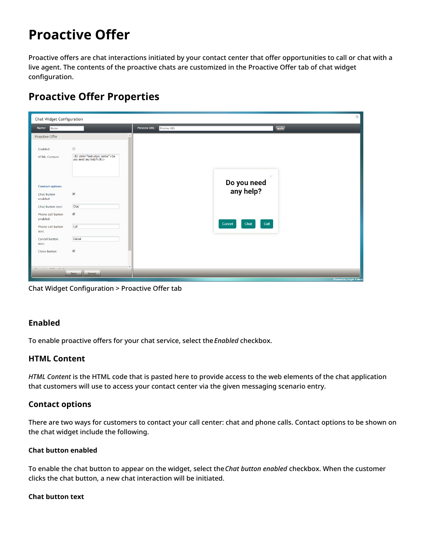# <span id="page-10-0"></span>**Proactive Offer**

Proactive offers are chat interactions initiated by your contact center that offer opportunities to call or chat with a live agent. The contents of the proactive chats are customized in the Proactive Offer tab of chat widget configuration.

### <span id="page-10-1"></span>**Proactive Offer Properties**

| <b>Chat Widget Configuration</b>             |                                                                                       |                                           | $\odot$                              |
|----------------------------------------------|---------------------------------------------------------------------------------------|-------------------------------------------|--------------------------------------|
| Name:<br>Name                                |                                                                                       | <b>Preview URL:</b><br><b>Preview URL</b> | apply                                |
| Proactive Offer                              |                                                                                       |                                           |                                      |
| Enabled:<br><b>HTML Content:</b>             | $\qquad \qquad \Box$<br><h1 style="text-align: center">Do<br/>you need any help?</h1> |                                           |                                      |
| <b>Contact options</b>                       |                                                                                       |                                           | $\times$<br>Do you need<br>any help? |
| Chat button<br>enabled:<br>Chat button text: | $\overline{\mathcal{L}}$<br>Chat                                                      |                                           |                                      |
| Phone call button<br>enabled:                | $\blacktriangledown$                                                                  |                                           | Call<br>Cancel<br>Chat               |
| Phone call button<br>text:                   | Call                                                                                  |                                           |                                      |
| Cancel button<br>text:                       | Cancel                                                                                |                                           |                                      |
| Close button:                                | $\overline{\mathcal{L}}$                                                              |                                           |                                      |
| $\overline{c}$                               |                                                                                       |                                           |                                      |
|                                              | Cancel<br>Save                                                                        |                                           | <b>Powered by Bright Pattern</b>     |

Chat Widget Configuration > Proactive Offer tab

#### <span id="page-10-2"></span>**Enabled**

To enable proactive offers for your chat service, select the*Enabled* checkbox.

#### <span id="page-10-3"></span>**HTML Content**

*HTML Content* is the HTML code that is pasted here to provide access to the web elements of the chat application that customers will use to access your contact center via the given messaging scenario entry.

#### <span id="page-10-4"></span>**Contact options**

There are two ways for customers to contact your call center: chat and phone calls. Contact options to be shown on the chat widget include the following.

#### <span id="page-10-5"></span>**Chat button enabled**

To enable the chat button to appear on the widget, select the*Chat button enabled* checkbox. When the customer clicks the chat button, a new chat interaction will be initiated.

#### <span id="page-10-6"></span>**Chat button text**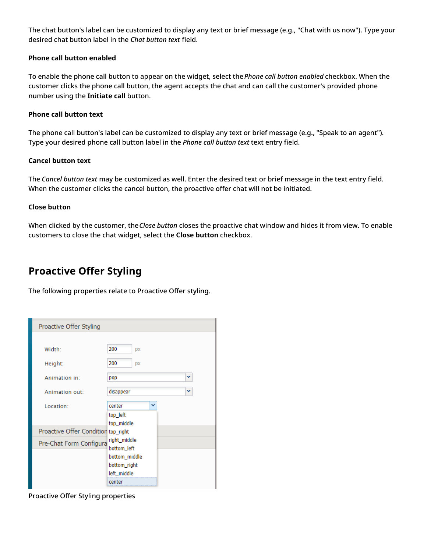The chat button's label can be customized to display any text or brief message (e.g., "Chat with us now"). Type your desired chat button label in the *Chat button text* field.

#### <span id="page-11-0"></span>**Phone call button enabled**

To enable the phone call button to appear on the widget, select the*Phone call button enabled* checkbox. When the customer clicks the phone call button, the agent accepts the chat and can call the customer's provided phone number using the **Initiate call** button.

#### <span id="page-11-1"></span>**Phone call button text**

The phone call button's label can be customized to display any text or brief message (e.g., "Speak to an agent"). Type your desired phone call button label in the *Phone call button text* text entry field.

#### <span id="page-11-2"></span>**Cancel button text**

The *Cancel button text* may be customized as well. Enter the desired text or brief message in the text entry field. When the customer clicks the cancel button, the proactive offer chat will not be initiated.

#### <span id="page-11-3"></span>**Close button**

When clicked by the customer, the*Close button* closes the proactive chat window and hides it from view. To enable customers to close the chat widget, select the **Close button** checkbox.

### <span id="page-11-4"></span>**Proactive Offer Styling**

The following properties relate to Proactive Offer styling.

| Proactive Offer Styling             |                             |
|-------------------------------------|-----------------------------|
|                                     |                             |
| Width:                              | 200<br><b>DX</b>            |
| Height:                             | 200<br>DX                   |
| Animation in:                       | v<br>pop                    |
| Animation out:                      | disappear<br>v              |
| Location:                           | center<br>v                 |
|                                     | top_left<br>top_middle      |
| Proactive Offer Condition top_right |                             |
| Pre-Chat Form Configura             | right_middle<br>bottom_left |
|                                     | bottom_middle               |
|                                     | bottom_right                |
|                                     | left_middle<br>center       |

Proactive Offer Styling properties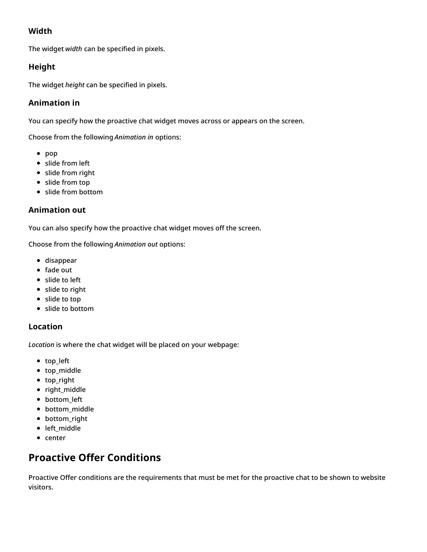### <span id="page-12-0"></span>**Width**

The widget *width* can be specified in pixels.

#### <span id="page-12-1"></span>**Height**

The widget *height* can be specified in pixels.

#### <span id="page-12-2"></span>**Animation in**

You can specify how the proactive chat widget moves across or appears on the screen.

Choose from the following *Animation in* options:

- $\bullet$  pop
- slide from left
- slide from right
- slide from top
- slide from bottom

#### <span id="page-12-3"></span>**Animation out**

You can also specify how the proactive chat widget moves off the screen.

Choose from the following *Animation out* options:

- disappear
- fade out
- slide to left
- slide to right
- slide to top
- slide to bottom

#### <span id="page-12-4"></span>**Location**

*Location* is where the chat widget will be placed on your webpage:

- top\_left
- top\_middle
- top right
- right\_middle
- bottom left
- bottom\_middle
- bottom\_right
- left\_middle
- center

### <span id="page-12-5"></span>**Proactive Offer Conditions**

Proactive Offer conditions are the requirements that must be met for the proactive chat to be shown to website visitors.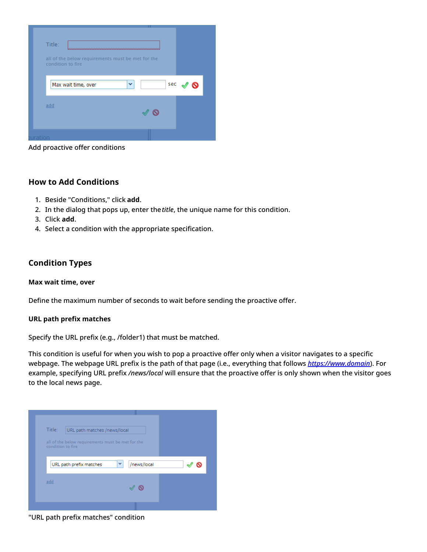| Title:                                                                 |          |
|------------------------------------------------------------------------|----------|
| all of the below requirements must be met for the<br>condition to fire |          |
| Max wait time, over                                                    | sec<br>v |
| add                                                                    |          |
|                                                                        |          |

Add proactive offer conditions

#### <span id="page-13-0"></span>**How to Add Conditions**

- 1. Beside "Conditions," click **add**.
- 2. In the dialog that pops up, enter the*title*, the unique name for this condition.
- 3. Click **add**.
- 4. Select a condition with the appropriate specification.

#### <span id="page-13-1"></span>**Condition Types**

#### <span id="page-13-2"></span>**Max wait time, over**

Define the maximum number of seconds to wait before sending the proactive offer.

#### <span id="page-13-3"></span>**URL path prefix matches**

Specify the URL prefix (e.g., /folder1) that must be matched.

This condition is useful for when you wish to pop a proactive offer only when a visitor navigates to a specific webpage. The webpage URL prefix is the path of that page (i.e., everything that follows *<https://www.domain>*). For example, specifying URL prefix */news/local* will ensure that the proactive offer is only shown when the visitor goes to the local news page.



"URL path prefix matches" condition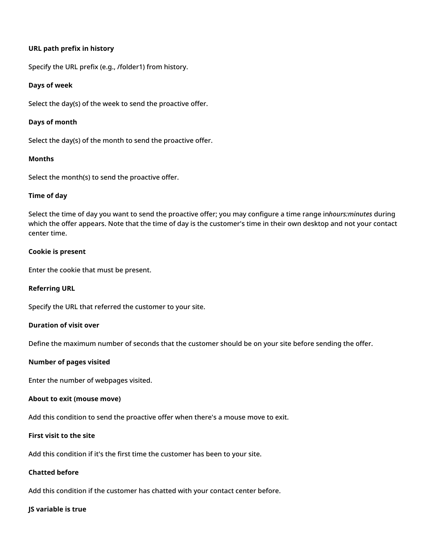#### <span id="page-14-0"></span>**URL path prefix in history**

Specify the URL prefix (e.g., /folder1) from history.

#### <span id="page-14-1"></span>**Days of week**

Select the day(s) of the week to send the proactive offer.

#### <span id="page-14-2"></span>**Days of month**

Select the day(s) of the month to send the proactive offer.

#### <span id="page-14-3"></span>**Months**

Select the month(s) to send the proactive offer.

#### <span id="page-14-4"></span>**Time of day**

Select the time of day you want to send the proactive offer; you may configure a time range in*hours:minutes* during which the offer appears. Note that the time of day is the customer's time in their own desktop and not your contact center time.

#### <span id="page-14-5"></span>**Cookie is present**

Enter the cookie that must be present.

#### <span id="page-14-6"></span>**Referring URL**

Specify the URL that referred the customer to your site.

#### <span id="page-14-7"></span>**Duration of visit over**

Define the maximum number of seconds that the customer should be on your site before sending the offer.

#### <span id="page-14-8"></span>**Number of pages visited**

Enter the number of webpages visited.

#### <span id="page-14-9"></span>**About to exit (mouse move)**

Add this condition to send the proactive offer when there's a mouse move to exit.

#### <span id="page-14-10"></span>**First visit to the site**

Add this condition if it's the first time the customer has been to your site.

#### <span id="page-14-11"></span>**Chatted before**

Add this condition if the customer has chatted with your contact center before.

#### <span id="page-14-12"></span>**JS variable is true**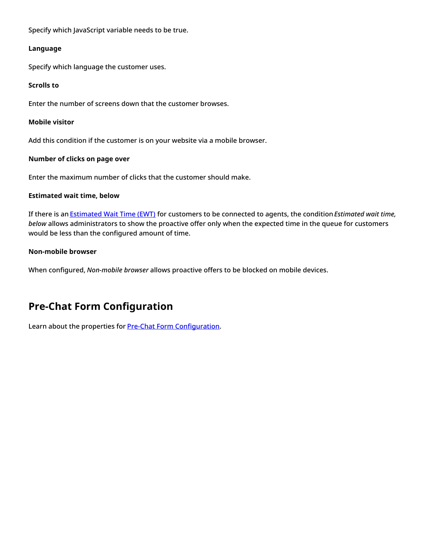Specify which JavaScript variable needs to be true.

#### <span id="page-15-0"></span>**Language**

Specify which language the customer uses.

#### <span id="page-15-1"></span>**Scrolls to**

Enter the number of screens down that the customer browses.

#### <span id="page-15-2"></span>**Mobile visitor**

Add this condition if the customer is on your website via a mobile browser.

#### <span id="page-15-3"></span>**Number of clicks on page over**

Enter the maximum number of clicks that the customer should make.

#### <span id="page-15-4"></span>**Estimated wait time, below**

If there is an [Estimated](https://help.brightpattern.com/index.php?title=Contact-center-administrator-guide/Appendices/Glossary&action=edit&redlink=1) Wait Time (EWT) for customers to be connected to agents, the condition*Estimated wait time, below* allows administrators to show the proactive offer only when the expected time in the queue for customers would be less than the configured amount of time.

#### <span id="page-15-5"></span>**Non-mobile browser**

When configured, *Non-mobile browser* allows proactive offers to be blocked on mobile devices.

### <span id="page-15-6"></span>**Pre-Chat Form Configuration**

Learn about the properties for **Pre-Chat Form [Configuration](https://help.brightpattern.com/index.php?title=Chat-widget-configuration-guide/ContactTab&action=edit&redlink=1)**.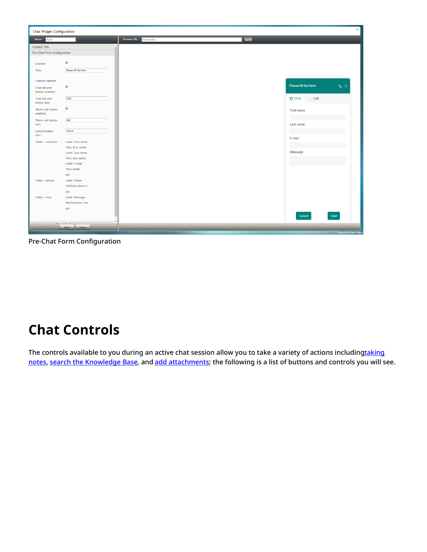

Pre-Chat Form Configuration

# <span id="page-16-0"></span>**Chat Controls**

The controls available to you during an active chat session allow you to take a variety of actions [includingtaking](https://help.brightpattern.com/WhatsNew/Version5.3.2/?action=html-localimages-export#Select_Notes_Control) notes, search the [Knowledge](https://help.brightpattern.com/WhatsNew/Version5.3.2/?action=html-localimages-export#Search_the_Knowledge_Base) Base, and add [attachments](https://help.brightpattern.com/WhatsNew/Version5.3.2/?action=html-localimages-export#Add_an_Attachment); the following is a list of buttons and controls you will see.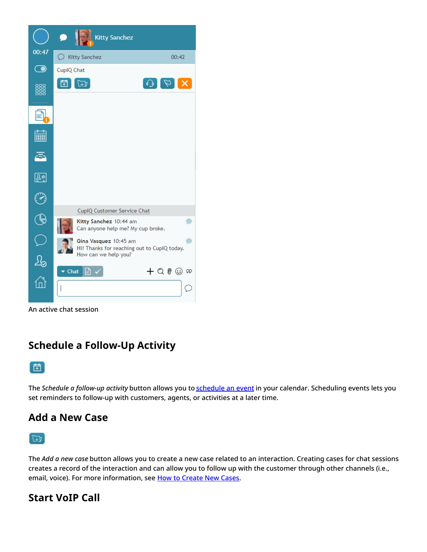

An active chat session

### <span id="page-17-0"></span>**Schedule a Follow-Up Activity**



The *Schedule a follow-up activity* button allows you to [schedule](https://help.brightpattern.com/WhatsNew/Version5.3.2/?action=html-localimages-export#topic_agent-guide.2Ftutorials.2Fcalendar.2Fhowtoscheduleanevent) an event in your calendar. Scheduling events lets you set reminders to follow-up with customers, agents, or activities at a later time.

### <span id="page-17-1"></span>**Add a New Case**

 $F_{\pm 1}$ 

The *Add a new case* button allows you to create a new case related to an interaction. Creating cases for chat sessions creates a record of the interaction and can allow you to follow up with the customer through other channels (i.e., email, voice). For more information, see How to [Create](https://help.brightpattern.com/WhatsNew/Version5.3.2/?action=html-localimages-export#topic_agent-guide.2Ftutorials.2Fcases.2Fhowtocreatenewcases) New Cases.

### <span id="page-17-2"></span>**Start VoIP Call**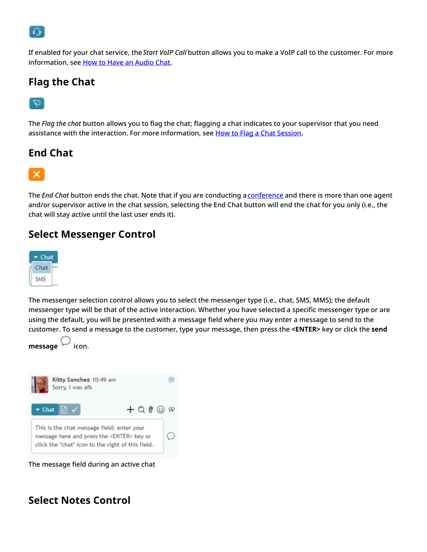

If enabled for your chat service, the *Start VoIP Call* button allows you to make a VoIP call to the customer. For more information, see How to Have an [Audio](https://help.brightpattern.com/WhatsNew/Version5.3.2/?action=html-localimages-export#topic_agent-guide.2Ftutorials.2Fchat.2Fhowtohaveanaudiochat) Chat.

### <span id="page-18-0"></span>**Flag the Chat**

### $\varnothing$

The *Flag the chat* button allows you to flag the chat; flagging a chat indicates to your supervisor that you need assistance with the interaction. For more information, see How to Flag a Chat [Session](https://help.brightpattern.com/WhatsNew/Version5.3.2/?action=html-localimages-export#topic_agent-guide.2Ftutorials.2Fchat.2Fhowtoflagachatsession).

### <span id="page-18-1"></span>**End Chat**



The *End Chat* button ends the chat. Note that if you are conducting a **[conference](https://help.brightpattern.com/WhatsNew/Version5.3.2/?action=html-localimages-export#Invite_for_Conference_or_Warm_Transfer)** and there is more than one agent and/or supervisor active in the chat session, selecting the End Chat button will end the chat for you only (i.e., the chat will stay active until the last user ends it).

### <span id="page-18-2"></span>**Select Messenger Control**



The messenger selection control allows you to select the messenger type (i.e., chat, SMS, MMS); the default messenger type will be that of the active interaction. Whether you have selected a specific messenger type or are using the default, you will be presented with a message field where you may enter a message to send to the customer. To send a message to the customer, type your message, then press the **<ENTER>** key or click the **send**





The message field during an active chat

### <span id="page-18-3"></span>**Select Notes Control**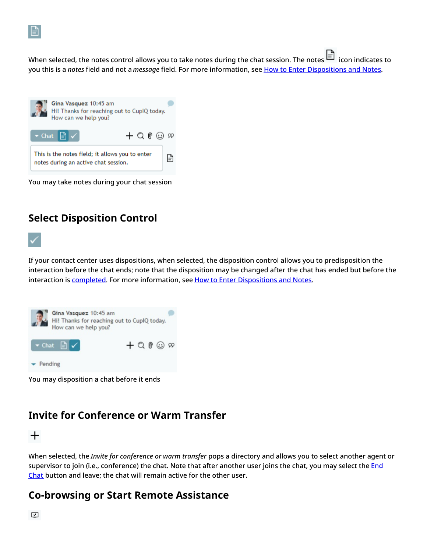

When [s](https://help.brightpattern.com/File:AD-Chat-Notes-Indicator-Icon-532.PNG)elected, the notes control allows you to take notes during the chat session. The notes  $\Box$  icon indicates to you this is a *notes* field and not a *message* field. For more information, see How to Enter [Dispositions](https://help.brightpattern.com/WhatsNew/Version5.3.2/?action=html-localimages-export#topic_agent-guide.2Ftutorials.2Fcalls.2Fhowtoenterdispositionsandnotes) and Notes.



You may take notes during your chat session

### <span id="page-19-0"></span>**Select Disposition Control**

If your contact center uses dispositions, when selected, the disposition control allows you to predisposition the interaction before the chat ends; note that the disposition may be changed after the chat has ended but before the interaction is **[completed](https://help.brightpattern.com/WhatsNew/Version5.3.2/?action=html-localimages-export#Complete)**. For more information, see How to Enter [Dispositions](https://help.brightpattern.com/WhatsNew/Version5.3.2/?action=html-localimages-export#topic_agent-guide.2Ftutorials.2Fcalls.2Fhowtoenterdispositionsandnotes) and Notes.



You may disposition a chat before it ends

### <span id="page-19-1"></span>**Invite for Conference or Warm Transfer**

 $\pm$ 

When selected, the *Invite for conference or warm transfer* pops a directory and allows you to select another agent or supervisor to join (i.e., [conference\)](https://help.brightpattern.com/WhatsNew/Version5.3.2/?action=html-localimages-export#End_Chat) the chat. Note that after another user joins the chat, you may select the **End** Chat button and leave; the chat will remain active for the other user.

### <span id="page-19-2"></span>**Co-browsing or Start Remote Assistance**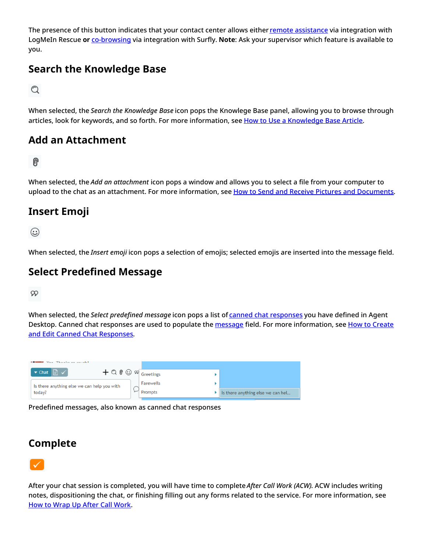The presence of this button indicates that your contact center allows either remote [assistance](https://help.brightpattern.com/WhatsNew/Version5.3.2/?action=html-localimages-export#topic_agent-guide.2Ftutorials.2Fchat.2Fremoteassistance) via integration with LogMeIn Rescue **or** [co-browsing](https://help.brightpattern.com/WhatsNew/Version5.3.2/?action=html-localimages-export#topic_agent-guide.2Ftutorials.2Fchat.2Fsurflyco-browsing) via integration with Surfly. **Note**: Ask your supervisor which feature is available to you.

### <span id="page-20-0"></span>**Search the Knowledge Base**

Q

When selected, the *Search the Knowledge Base* icon pops the Knowlege Base panel, allowing you to browse through articles, look for keywords, and so forth. For more information, see How to Use a [Knowledge](https://help.brightpattern.com/WhatsNew/Version5.3.2/?action=html-localimages-export#topic_agent-guide.2Ftutorials.2Fknowledgebase.2Fhowtouse) Base Article.

### <span id="page-20-1"></span>**Add an Attachment**

### 0

When selected, the *Add an attachment* icon pops a window and allows you to select a file from your computer to upload to the chat as an attachment. For more information, see How to Send and Receive Pictures and [Documents](https://help.brightpattern.com/WhatsNew/Version5.3.2/?action=html-localimages-export#topic_agent-guide.2Ftutorials.2Fchat.2Fhowtosendandreceivepicturesanddocuments).

### <span id="page-20-2"></span>**Insert Emoji**

☺

When selected, the *Insert emoji* icon pops a selection of emojis; selected emojis are inserted into the message field.

### <span id="page-20-3"></span>**Select Predefined Message**

99

When selected, the *Select predefined message* icon pops a list of canned chat [responses](https://help.brightpattern.com/WhatsNew/Version5.3.2/?action=html-localimages-export#topic_agent-guide.2Ftutorials.2Fchat.2Fhowtocreateandeditcannedchatresponses) you have defined in Agent Desktop. Canned chat responses are used to populate the [message](https://help.brightpattern.com/WhatsNew/Version5.3.2/?action=html-localimages-export#Select_Messenger_Control) field. For more [information,](https://help.brightpattern.com/WhatsNew/Version5.3.2/?action=html-localimages-export#topic_agent-guide.2Ftutorials.2Fchat.2Fhowtocreateandeditcannedchatresponses) see How to Create and Edit Canned Chat Responses.



Predefined messages, also known as canned chat responses

### <span id="page-20-4"></span>**Complete**



After your chat session is completed, you will have time to complete *After Call Work (ACW)*. ACW includes writing notes, dispositioning the chat, or finishing filling out any forms related to the service. For more information, see How to Wrap Up After Call [Work.](https://help.brightpattern.com/WhatsNew/Version5.3.2/?action=html-localimages-export#topic_agent-guide.2Ftutorials.2Fcalls.2Fhowtowrapupafter-callwork)